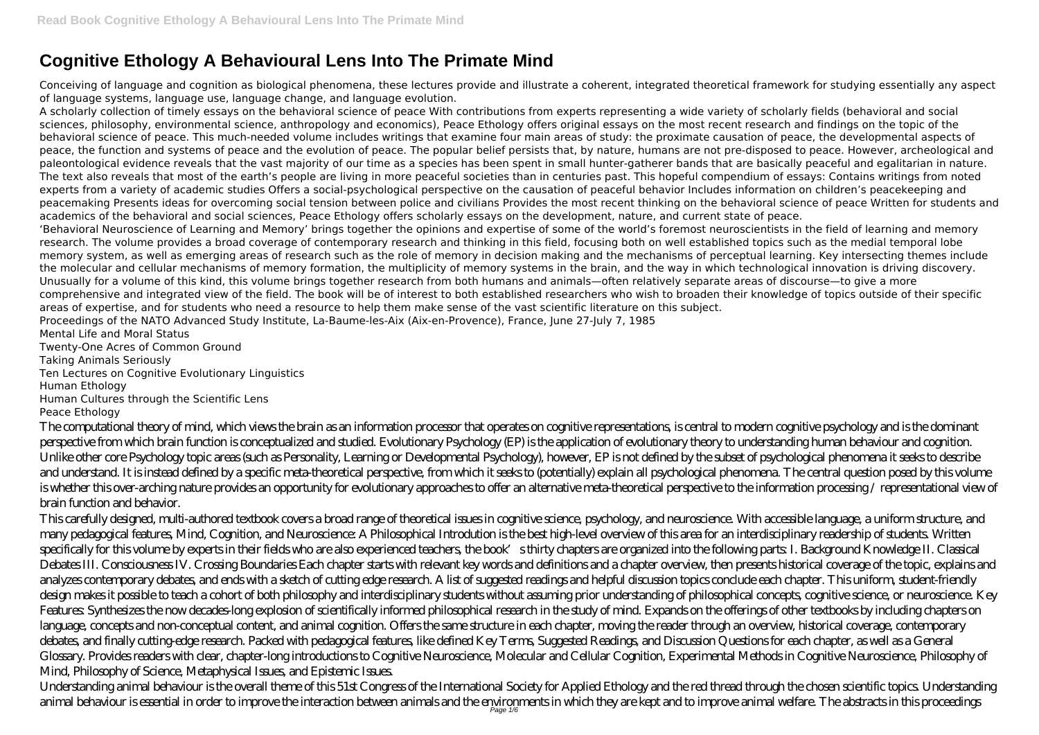# **Cognitive Ethology A Behavioural Lens Into The Primate Mind**

Conceiving of language and cognition as biological phenomena, these lectures provide and illustrate a coherent, integrated theoretical framework for studying essentially any aspect of language systems, language use, language change, and language evolution.

A scholarly collection of timely essays on the behavioral science of peace With contributions from experts representing a wide variety of scholarly fields (behavioral and social sciences, philosophy, environmental science, anthropology and economics), Peace Ethology offers original essays on the most recent research and findings on the topic of the behavioral science of peace. This much-needed volume includes writings that examine four main areas of study: the proximate causation of peace, the developmental aspects of peace, the function and systems of peace and the evolution of peace. The popular belief persists that, by nature, humans are not pre-disposed to peace. However, archeological and paleontological evidence reveals that the vast majority of our time as a species has been spent in small hunter-gatherer bands that are basically peaceful and egalitarian in nature. The text also reveals that most of the earth's people are living in more peaceful societies than in centuries past. This hopeful compendium of essays: Contains writings from noted experts from a variety of academic studies Offers a social-psychological perspective on the causation of peaceful behavior Includes information on children's peacekeeping and peacemaking Presents ideas for overcoming social tension between police and civilians Provides the most recent thinking on the behavioral science of peace Written for students and academics of the behavioral and social sciences, Peace Ethology offers scholarly essays on the development, nature, and current state of peace. 'Behavioral Neuroscience of Learning and Memory' brings together the opinions and expertise of some of the world's foremost neuroscientists in the field of learning and memory research. The volume provides a broad coverage of contemporary research and thinking in this field, focusing both on well established topics such as the medial temporal lobe memory system, as well as emerging areas of research such as the role of memory in decision making and the mechanisms of perceptual learning. Key intersecting themes include the molecular and cellular mechanisms of memory formation, the multiplicity of memory systems in the brain, and the way in which technological innovation is driving discovery. Unusually for a volume of this kind, this volume brings together research from both humans and animals—often relatively separate areas of discourse—to give a more comprehensive and integrated view of the field. The book will be of interest to both established researchers who wish to broaden their knowledge of topics outside of their specific areas of expertise, and for students who need a resource to help them make sense of the vast scientific literature on this subject. Proceedings of the NATO Advanced Study Institute, La-Baume-les-Aix (Aix-en-Provence), France, June 27-July 7, 1985

Mental Life and Moral Status Twenty-One Acres of Common Ground Taking Animals Seriously Ten Lectures on Cognitive Evolutionary Linguistics Human Ethology Human Cultures through the Scientific Lens Peace Ethology

The computational theory of mind, which views the brain as an information processor that operates on cognitive representations, is central to modern cognitive psychology and is the dominant perspective from which brain function is conceptualized and studied. Evolutionary Psychology (EP) is the application of evolutionary theory to understanding human behaviour and cognition. Unlike other core Psychology topic areas (such as Personality, Learning or Developmental Psychology), however, EP is not defined by the subset of psychological phenomena it seeks to describe and understand. It is instead defined by a specific meta-theoretical perspective, from which it seeks to (potentially) explain all psychological phenomena. The central question posed by this volume is whether this over-arching nature provides an opportunity for evolutionary approaches to offer an alternative meta-theoretical perspective to the information processing / representational view of brain function and behavior.

This carefully designed, multi-authored textbook covers a broad range of theoretical issues in cognitive science, psychology, and neuroscience. With accessible language, a uniform structure, and many pedagogical features, Mind, Cognition, and Neuroscience: A Philosophical Introdution is the best high-level overview of this area for an interdisciplinary readership of students. Written specifically for this volume by experts in their fields who are also experienced teachers, the book's thirty chapters are organized into the following parts: I. Background Knowledge II. Classical Debates III. Consciousness IV. Crossing Boundaries Each chapter starts with relevant key words and definitions and a chapter overview, then presents historical coverage of the topic, explains and analyzes contemporary debates, and ends with a sketch of cutting edge research. A list of suggested readings and helpful discussion topics conclude each chapter. This uniform, student-friendly design makes it possible to teach a cohort of both philosophy and interdisciplinary students without assuming prior understanding of philosophical concepts, cognitive science, or neuroscience. Key Features: Synthesizes the now decades long explosion of scientifically informed philosophical research in the study of mind. Expands on the offerings of other textbooks by including chapters on language, concepts and non-conceptual content, and animal cognition. Offers the same structure in each chapter, moving the reader through an overview, historical coverage, contemporary debates, and finally cutting-edge research. Packed with pedagogical features, like defined Key Terms, Suggested Readings, and Discussion Questions for each chapter, as well as a General Glossary. Provides readers with clear, chapter-long introductions to Cognitive Neuroscience, Molecular and Cellular Cognition, Experimental Methods in Cognitive Neuroscience, Philosophy of Mind, Philosophy of Science, Metaphysical Issues, and Epistemic Issues.

Understanding animal behaviour is the overall theme of this 51st Congress of the International Society for Applied Ethology and the red thread through the chosen scientific topics. Understanding animal behaviour is essential in order to improve the interaction between animals and the environments in which they are kept and to improve animal welfare. The abstracts in this proceedings Page 1/6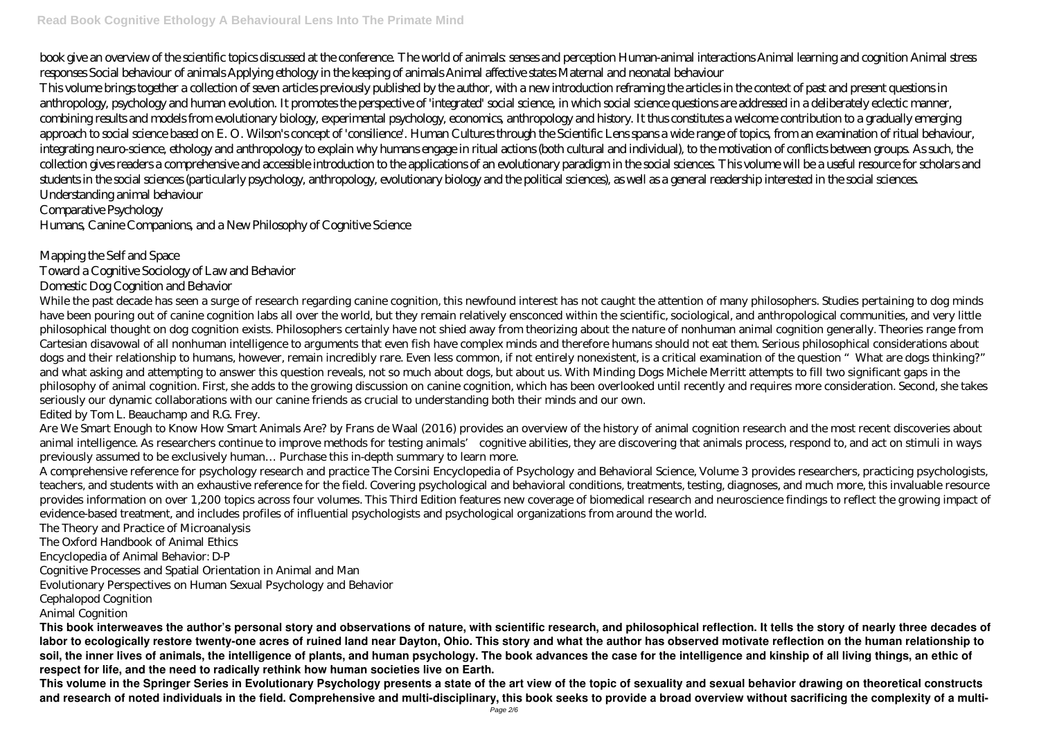book give an overview of the scientific topics discussed at the conference. The world of animals: senses and perception Human-animal interactions Animal learning and cognition Animal stress responses Social behaviour of animals Applying ethology in the keeping of animals Animal affective states Maternal and neonatal behaviour This volume brings together a collection of seven articles previously published by the author, with a new introduction reframing the articles in the context of past and present questions in anthropology, psychology and human evolution. It promotes the perspective of 'integrated' social science, in which social science questions are addressed in a deliberately eclectic manner, combining results and models from evolutionary biology, experimental psychology, economics, anthropology and history. It thus constitutes a welcome contribution to a gradually emerging approach to social science based on E. O. Wilson's concept of 'consilience'. Human Cultures through the Scientific Lens spans a wide range of topics, from an examination of ritual behaviour, integrating neuro-science, ethology and anthropology to explain why humans engage in ritual actions (both cultural and individual), to the motivation of conflicts between groups. As such, the collection gives readers a comprehensive and accessible introduction to the applications of an evolutionary paradigm in the social sciences. This volume will be a useful resource for scholars and students in the social sciences (particularly psychology, anthropology, evolutionary biology and the political sciences), as well as a general readership interested in the social sciences. Understanding animal behaviour

While the past decade has seen a surge of research regarding canine cognition, this newfound interest has not caught the attention of many philosophers. Studies pertaining to dog minds have been pouring out of canine cognition labs all over the world, but they remain relatively ensconced within the scientific, sociological, and anthropological communities, and very little philosophical thought on dog cognition exists. Philosophers certainly have not shied away from theorizing about the nature of nonhuman animal cognition generally. Theories range from Cartesian disavowal of all nonhuman intelligence to arguments that even fish have complex minds and therefore humans should not eat them. Serious philosophical considerations about dogs and their relationship to humans, however, remain incredibly rare. Even less common, if not entirely nonexistent, is a critical examination of the question "What are dogs thinking?" and what asking and attempting to answer this question reveals, not so much about dogs, but about us. With Minding Dogs Michele Merritt attempts to fill two significant gaps in the philosophy of animal cognition. First, she adds to the growing discussion on canine cognition, which has been overlooked until recently and requires more consideration. Second, she takes seriously our dynamic collaborations with our canine friends as crucial to understanding both their minds and our own. Edited by Tom L. Beauchamp and R.G. Frey.

# Comparative Psychology

Humans, Canine Companions, and a New Philosophy of Cognitive Science

## Mapping the Self and Space

# Toward a Cognitive Sociology of Law and Behavior

## Domestic Dog Cognition and Behavior

Are We Smart Enough to Know How Smart Animals Are? by Frans de Waal (2016) provides an overview of the history of animal cognition research and the most recent discoveries about animal intelligence. As researchers continue to improve methods for testing animals' cognitive abilities, they are discovering that animals process, respond to, and act on stimuli in ways previously assumed to be exclusively human… Purchase this in-depth summary to learn more.

A comprehensive reference for psychology research and practice The Corsini Encyclopedia of Psychology and Behavioral Science, Volume 3 provides researchers, practicing psychologists, teachers, and students with an exhaustive reference for the field. Covering psychological and behavioral conditions, treatments, testing, diagnoses, and much more, this invaluable resource provides information on over 1,200 topics across four volumes. This Third Edition features new coverage of biomedical research and neuroscience findings to reflect the growing impact of evidence-based treatment, and includes profiles of influential psychologists and psychological organizations from around the world.

The Theory and Practice of Microanalysis

The Oxford Handbook of Animal Ethics

Encyclopedia of Animal Behavior: D-P

Cognitive Processes and Spatial Orientation in Animal and Man

Evolutionary Perspectives on Human Sexual Psychology and Behavior

Cephalopod Cognition

Animal Cognition

**This book interweaves the author's personal story and observations of nature, with scientific research, and philosophical reflection. It tells the story of nearly three decades of labor to ecologically restore twenty-one acres of ruined land near Dayton, Ohio. This story and what the author has observed motivate reflection on the human relationship to soil, the inner lives of animals, the intelligence of plants, and human psychology. The book advances the case for the intelligence and kinship of all living things, an ethic of respect for life, and the need to radically rethink how human societies live on Earth.**

**This volume in the Springer Series in Evolutionary Psychology presents a state of the art view of the topic of sexuality and sexual behavior drawing on theoretical constructs and research of noted individuals in the field. Comprehensive and multi-disciplinary, this book seeks to provide a broad overview without sacrificing the complexity of a multi-**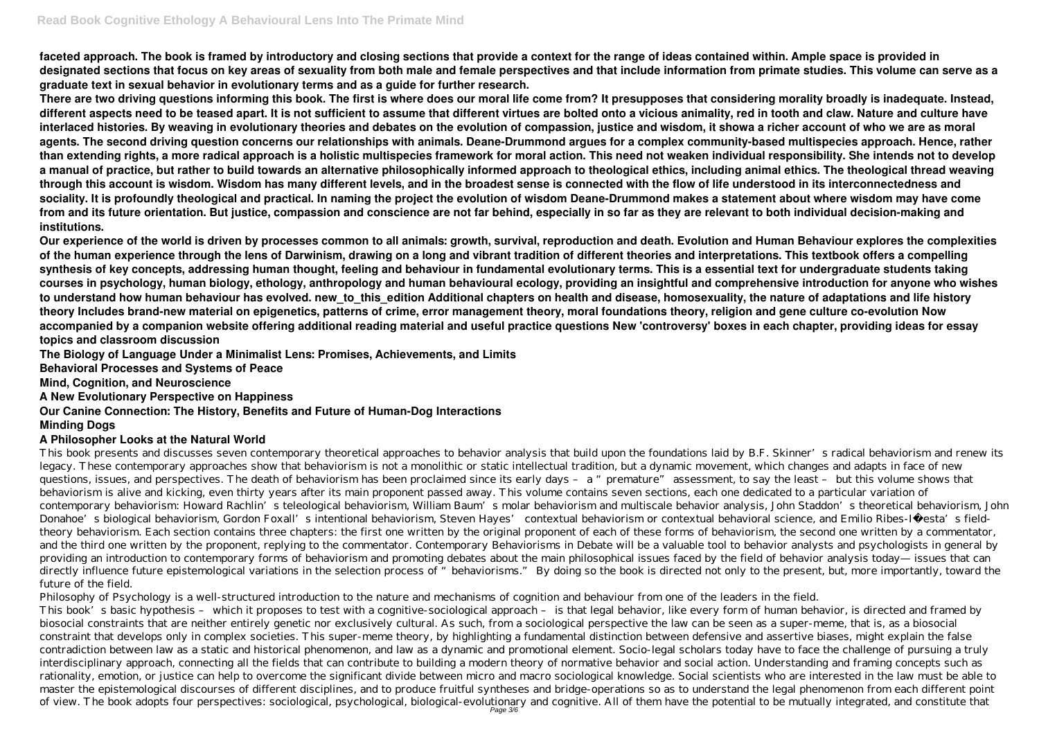**faceted approach. The book is framed by introductory and closing sections that provide a context for the range of ideas contained within. Ample space is provided in designated sections that focus on key areas of sexuality from both male and female perspectives and that include information from primate studies. This volume can serve as a graduate text in sexual behavior in evolutionary terms and as a guide for further research.**

**There are two driving questions informing this book. The first is where does our moral life come from? It presupposes that considering morality broadly is inadequate. Instead, different aspects need to be teased apart. It is not sufficient to assume that different virtues are bolted onto a vicious animality, red in tooth and claw. Nature and culture have interlaced histories. By weaving in evolutionary theories and debates on the evolution of compassion, justice and wisdom, it showa a richer account of who we are as moral agents. The second driving question concerns our relationships with animals. Deane-Drummond argues for a complex community-based multispecies approach. Hence, rather than extending rights, a more radical approach is a holistic multispecies framework for moral action. This need not weaken individual responsibility. She intends not to develop a manual of practice, but rather to build towards an alternative philosophically informed approach to theological ethics, including animal ethics. The theological thread weaving through this account is wisdom. Wisdom has many different levels, and in the broadest sense is connected with the flow of life understood in its interconnectedness and sociality. It is profoundly theological and practical. In naming the project the evolution of wisdom Deane-Drummond makes a statement about where wisdom may have come from and its future orientation. But justice, compassion and conscience are not far behind, especially in so far as they are relevant to both individual decision-making and institutions.**

**Our experience of the world is driven by processes common to all animals: growth, survival, reproduction and death. Evolution and Human Behaviour explores the complexities of the human experience through the lens of Darwinism, drawing on a long and vibrant tradition of different theories and interpretations. This textbook offers a compelling synthesis of key concepts, addressing human thought, feeling and behaviour in fundamental evolutionary terms. This is a essential text for undergraduate students taking courses in psychology, human biology, ethology, anthropology and human behavioural ecology, providing an insightful and comprehensive introduction for anyone who wishes** to understand how human behaviour has evolved. new to this edition Additional chapters on health and disease, homosexuality, the nature of adaptations and life history **theory Includes brand-new material on epigenetics, patterns of crime, error management theory, moral foundations theory, religion and gene culture co-evolution Now accompanied by a companion website offering additional reading material and useful practice questions New 'controversy' boxes in each chapter, providing ideas for essay topics and classroom discussion**

Philosophy of Psychology is a well-structured introduction to the nature and mechanisms of cognition and behaviour from one of the leaders in the field. This book's basic hypothesis – which it proposes to test with a cognitive-sociological approach – is that legal behavior, like every form of human behavior, is directed and framed by biosocial constraints that are neither entirely genetic nor exclusively cultural. As such, from a sociological perspective the law can be seen as a super-meme, that is, as a biosocial constraint that develops only in complex societies. This super-meme theory, by highlighting a fundamental distinction between defensive and assertive biases, might explain the false contradiction between law as a static and historical phenomenon, and law as a dynamic and promotional element. Socio-legal scholars today have to face the challenge of pursuing a truly interdisciplinary approach, connecting all the fields that can contribute to building a modern theory of normative behavior and social action. Understanding and framing concepts such as rationality, emotion, or justice can help to overcome the significant divide between micro and macro sociological knowledge. Social scientists who are interested in the law must be able to master the epistemological discourses of different disciplines, and to produce fruitful syntheses and bridge-operations so as to understand the legal phenomenon from each different point of view. The book adopts four perspectives: sociological, psychological, biological-evolutionary and cognitive. All of them have the potential to be mutually integrated, and constitute that

**The Biology of Language Under a Minimalist Lens: Promises, Achievements, and Limits**

**Behavioral Processes and Systems of Peace**

**Mind, Cognition, and Neuroscience**

**A New Evolutionary Perspective on Happiness**

## **Our Canine Connection: The History, Benefits and Future of Human-Dog Interactions**

### **Minding Dogs**

### **A Philosopher Looks at the Natural World**

This book presents and discusses seven contemporary theoretical approaches to behavior analysis that build upon the foundations laid by B.F. Skinner's radical behaviorism and renew its legacy. These contemporary approaches show that behaviorism is not a monolithic or static intellectual tradition, but a dynamic movement, which changes and adapts in face of new questions, issues, and perspectives. The death of behaviorism has been proclaimed since its early days - a "premature" assessment, to say the least - but this volume shows that behaviorism is alive and kicking, even thirty years after its main proponent passed away. This volume contains seven sections, each one dedicated to a particular variation of contemporary behaviorism: Howard Rachlin's teleological behaviorism, William Baum's molar behaviorism and multiscale behavior analysis, John Staddon's theoretical behaviorism, John Donahoe's biological behaviorism, Gordon Foxall's intentional behaviorism, Steven Hayes' contextual behaviorism or contextual behavioral science, and Emilio Ribes-Iñesta's fieldtheory behaviorism. Each section contains three chapters: the first one written by the original proponent of each of these forms of behaviorism, the second one written by a commentator, and the third one written by the proponent, replying to the commentator. Contemporary Behaviorisms in Debate will be a valuable tool to behavior analysts and psychologists in general by providing an introduction to contemporary forms of behaviorism and promoting debates about the main philosophical issues faced by the field of behavior analysis today— issues that can directly influence future epistemological variations in the selection process of "behaviorisms." By doing so the book is directed not only to the present, but, more importantly, toward the future of the field.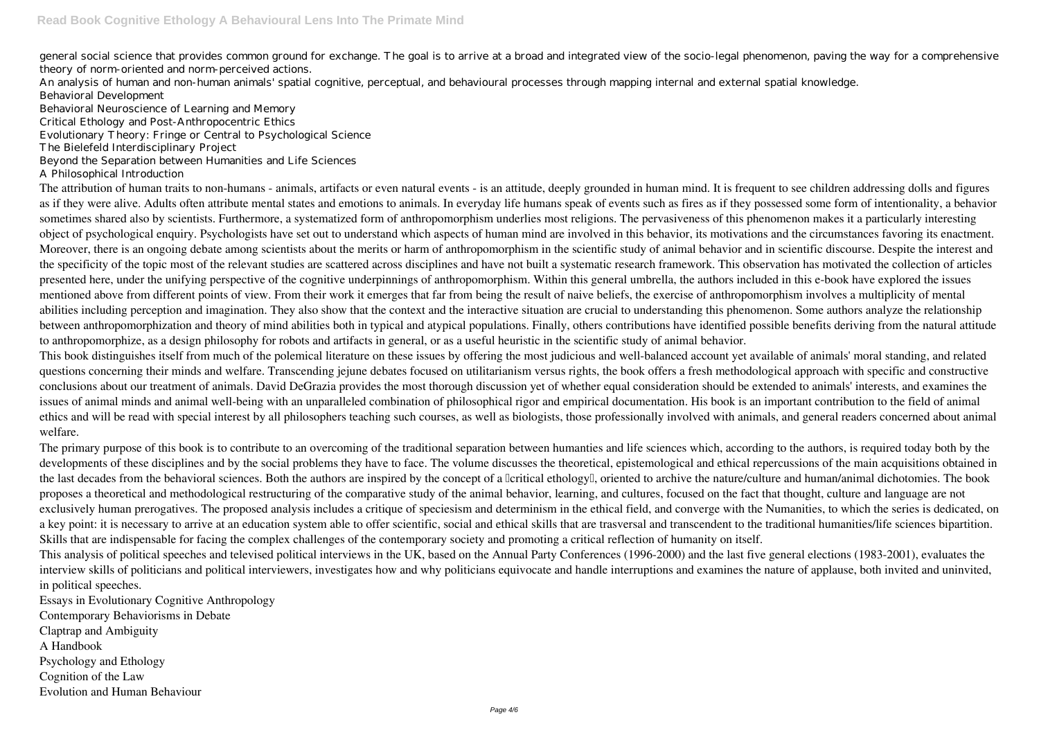general social science that provides common ground for exchange. The goal is to arrive at a broad and integrated view of the socio-legal phenomenon, paving the way for a comprehensive theory of norm-oriented and norm-perceived actions.

An analysis of human and non-human animals' spatial cognitive, perceptual, and behavioural processes through mapping internal and external spatial knowledge. Behavioral Development

Behavioral Neuroscience of Learning and Memory

Critical Ethology and Post-Anthropocentric Ethics

Evolutionary Theory: Fringe or Central to Psychological Science

The Bielefeld Interdisciplinary Project

Beyond the Separation between Humanities and Life Sciences

A Philosophical Introduction

The attribution of human traits to non-humans - animals, artifacts or even natural events - is an attitude, deeply grounded in human mind. It is frequent to see children addressing dolls and figures as if they were alive. Adults often attribute mental states and emotions to animals. In everyday life humans speak of events such as fires as if they possessed some form of intentionality, a behavior sometimes shared also by scientists. Furthermore, a systematized form of anthropomorphism underlies most religions. The pervasiveness of this phenomenon makes it a particularly interesting object of psychological enquiry. Psychologists have set out to understand which aspects of human mind are involved in this behavior, its motivations and the circumstances favoring its enactment. Moreover, there is an ongoing debate among scientists about the merits or harm of anthropomorphism in the scientific study of animal behavior and in scientific discourse. Despite the interest and the specificity of the topic most of the relevant studies are scattered across disciplines and have not built a systematic research framework. This observation has motivated the collection of articles presented here, under the unifying perspective of the cognitive underpinnings of anthropomorphism. Within this general umbrella, the authors included in this e-book have explored the issues mentioned above from different points of view. From their work it emerges that far from being the result of naive beliefs, the exercise of anthropomorphism involves a multiplicity of mental abilities including perception and imagination. They also show that the context and the interactive situation are crucial to understanding this phenomenon. Some authors analyze the relationship between anthropomorphization and theory of mind abilities both in typical and atypical populations. Finally, others contributions have identified possible benefits deriving from the natural attitude to anthropomorphize, as a design philosophy for robots and artifacts in general, or as a useful heuristic in the scientific study of animal behavior.

The primary purpose of this book is to contribute to an overcoming of the traditional separation between humanties and life sciences which, according to the authors, is required today both by the developments of these disciplines and by the social problems they have to face. The volume discusses the theoretical, epistemological and ethical repercussions of the main acquisitions obtained in the last decades from the behavioral sciences. Both the authors are inspired by the concept of a "critical ethology", oriented to archive the nature/culture and human/animal dichotomies. The book proposes a theoretical and methodological restructuring of the comparative study of the animal behavior, learning, and cultures, focused on the fact that thought, culture and language are not exclusively human prerogatives. The proposed analysis includes a critique of speciesism and determinism in the ethical field, and converge with the Numanities, to which the series is dedicated, on a key point: it is necessary to arrive at an education system able to offer scientific, social and ethical skills that are trasversal and transcendent to the traditional humanities/life sciences bipartition. Skills that are indispensable for facing the complex challenges of the contemporary society and promoting a critical reflection of humanity on itself. This analysis of political speeches and televised political interviews in the UK, based on the Annual Party Conferences (1996-2000) and the last five general elections (1983-2001), evaluates the interview skills of politicians and political interviewers, investigates how and why politicians equivocate and handle interruptions and examines the nature of applause, both invited and uninvited, in political speeches.

This book distinguishes itself from much of the polemical literature on these issues by offering the most judicious and well-balanced account yet available of animals' moral standing, and related questions concerning their minds and welfare. Transcending jejune debates focused on utilitarianism versus rights, the book offers a fresh methodological approach with specific and constructive conclusions about our treatment of animals. David DeGrazia provides the most thorough discussion yet of whether equal consideration should be extended to animals' interests, and examines the issues of animal minds and animal well-being with an unparalleled combination of philosophical rigor and empirical documentation. His book is an important contribution to the field of animal ethics and will be read with special interest by all philosophers teaching such courses, as well as biologists, those professionally involved with animals, and general readers concerned about animal welfare.

Essays in Evolutionary Cognitive Anthropology Contemporary Behaviorisms in Debate Claptrap and Ambiguity A Handbook Psychology and Ethology Cognition of the Law Evolution and Human Behaviour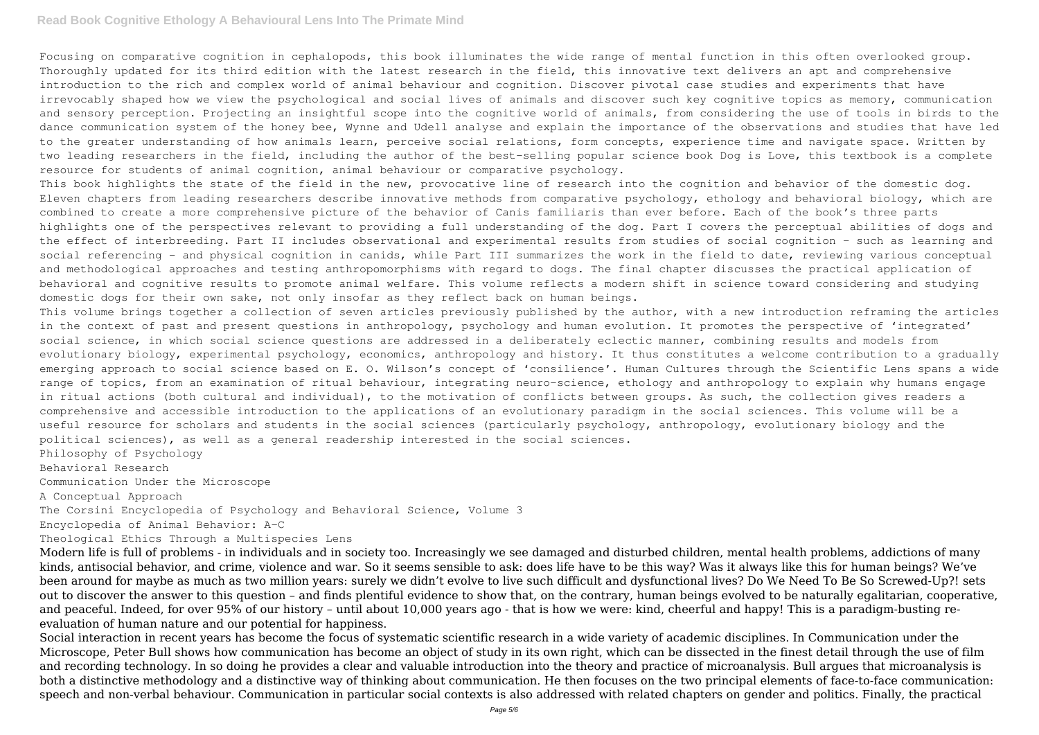#### **Read Book Cognitive Ethology A Behavioural Lens Into The Primate Mind**

Focusing on comparative cognition in cephalopods, this book illuminates the wide range of mental function in this often overlooked group. Thoroughly updated for its third edition with the latest research in the field, this innovative text delivers an apt and comprehensive introduction to the rich and complex world of animal behaviour and cognition. Discover pivotal case studies and experiments that have irrevocably shaped how we view the psychological and social lives of animals and discover such key cognitive topics as memory, communication and sensory perception. Projecting an insightful scope into the cognitive world of animals, from considering the use of tools in birds to the dance communication system of the honey bee, Wynne and Udell analyse and explain the importance of the observations and studies that have led to the greater understanding of how animals learn, perceive social relations, form concepts, experience time and navigate space. Written by two leading researchers in the field, including the author of the best-selling popular science book Dog is Love, this textbook is a complete resource for students of animal cognition, animal behaviour or comparative psychology.

This book highlights the state of the field in the new, provocative line of research into the cognition and behavior of the domestic dog. Eleven chapters from leading researchers describe innovative methods from comparative psychology, ethology and behavioral biology, which are combined to create a more comprehensive picture of the behavior of Canis familiaris than ever before. Each of the book's three parts highlights one of the perspectives relevant to providing a full understanding of the dog. Part I covers the perceptual abilities of dogs and the effect of interbreeding. Part II includes observational and experimental results from studies of social cognition – such as learning and social referencing – and physical cognition in canids, while Part III summarizes the work in the field to date, reviewing various conceptual and methodological approaches and testing anthropomorphisms with regard to dogs. The final chapter discusses the practical application of behavioral and cognitive results to promote animal welfare. This volume reflects a modern shift in science toward considering and studying domestic dogs for their own sake, not only insofar as they reflect back on human beings.

This volume brings together a collection of seven articles previously published by the author, with a new introduction reframing the articles in the context of past and present questions in anthropology, psychology and human evolution. It promotes the perspective of 'integrated' social science, in which social science questions are addressed in a deliberately eclectic manner, combining results and models from evolutionary biology, experimental psychology, economics, anthropology and history. It thus constitutes a welcome contribution to a gradually emerging approach to social science based on E. O. Wilson's concept of 'consilience'. Human Cultures through the Scientific Lens spans a wide range of topics, from an examination of ritual behaviour, integrating neuro-science, ethology and anthropology to explain why humans engage in ritual actions (both cultural and individual), to the motivation of conflicts between groups. As such, the collection gives readers a comprehensive and accessible introduction to the applications of an evolutionary paradigm in the social sciences. This volume will be a useful resource for scholars and students in the social sciences (particularly psychology, anthropology, evolutionary biology and the political sciences), as well as a general readership interested in the social sciences.

Philosophy of Psychology

Behavioral Research

Communication Under the Microscope

A Conceptual Approach

The Corsini Encyclopedia of Psychology and Behavioral Science, Volume 3

Encyclopedia of Animal Behavior: A-C

Theological Ethics Through a Multispecies Lens

Modern life is full of problems - in individuals and in society too. Increasingly we see damaged and disturbed children, mental health problems, addictions of many kinds, antisocial behavior, and crime, violence and war. So it seems sensible to ask: does life have to be this way? Was it always like this for human beings? We've been around for maybe as much as two million years: surely we didn't evolve to live such difficult and dysfunctional lives? Do We Need To Be So Screwed-Up?! sets out to discover the answer to this question – and finds plentiful evidence to show that, on the contrary, human beings evolved to be naturally egalitarian, cooperative, and peaceful. Indeed, for over 95% of our history – until about 10,000 years ago - that is how we were: kind, cheerful and happy! This is a paradigm-busting reevaluation of human nature and our potential for happiness.

Social interaction in recent years has become the focus of systematic scientific research in a wide variety of academic disciplines. In Communication under the Microscope, Peter Bull shows how communication has become an object of study in its own right, which can be dissected in the finest detail through the use of film and recording technology. In so doing he provides a clear and valuable introduction into the theory and practice of microanalysis. Bull argues that microanalysis is both a distinctive methodology and a distinctive way of thinking about communication. He then focuses on the two principal elements of face-to-face communication: speech and non-verbal behaviour. Communication in particular social contexts is also addressed with related chapters on gender and politics. Finally, the practical